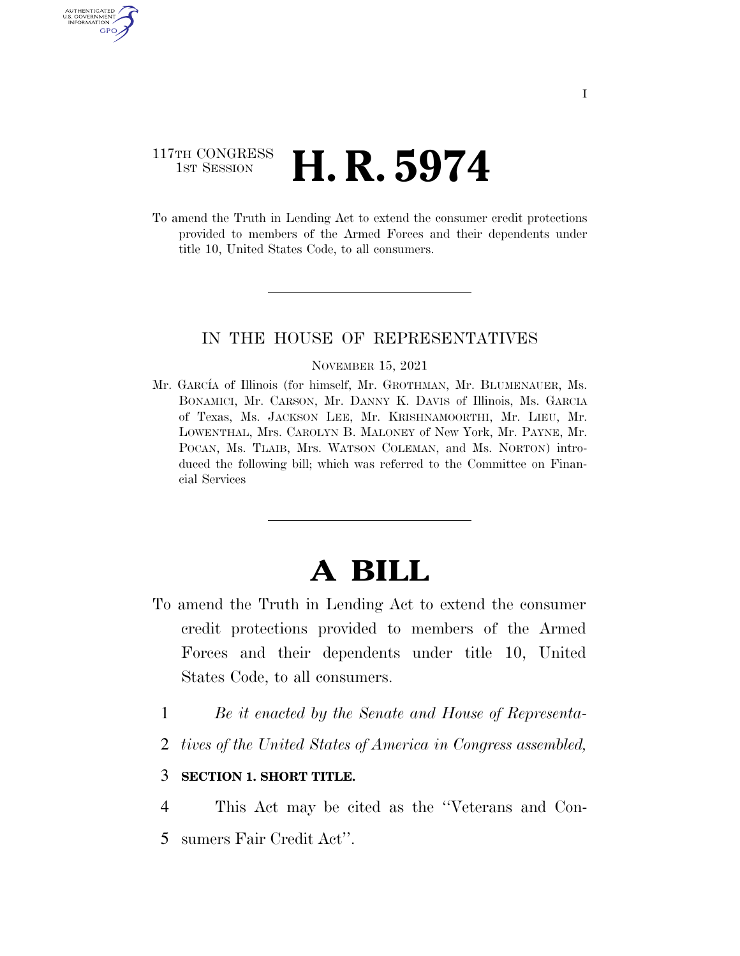## 117TH CONGRESS **1st Session H. R. 5974**

**AUTHENTICA** U.S. GOVERNMENT GPO

> To amend the Truth in Lending Act to extend the consumer credit protections provided to members of the Armed Forces and their dependents under title 10, United States Code, to all consumers.

### IN THE HOUSE OF REPRESENTATIVES

#### NOVEMBER 15, 2021

Mr. GARCÍA of Illinois (for himself, Mr. GROTHMAN, Mr. BLUMENAUER, Ms. BONAMICI, Mr. CARSON, Mr. DANNY K. DAVIS of Illinois, Ms. GARCIA of Texas, Ms. JACKSON LEE, Mr. KRISHNAMOORTHI, Mr. LIEU, Mr. LOWENTHAL, Mrs. CAROLYN B. MALONEY of New York, Mr. PAYNE, Mr. POCAN, Ms. TLAIB, Mrs. WATSON COLEMAN, and Ms. NORTON) introduced the following bill; which was referred to the Committee on Financial Services

# **A BILL**

- To amend the Truth in Lending Act to extend the consumer credit protections provided to members of the Armed Forces and their dependents under title 10, United States Code, to all consumers.
	- 1 *Be it enacted by the Senate and House of Representa-*
	- 2 *tives of the United States of America in Congress assembled,*

#### 3 **SECTION 1. SHORT TITLE.**

4 This Act may be cited as the ''Veterans and Con-5 sumers Fair Credit Act''.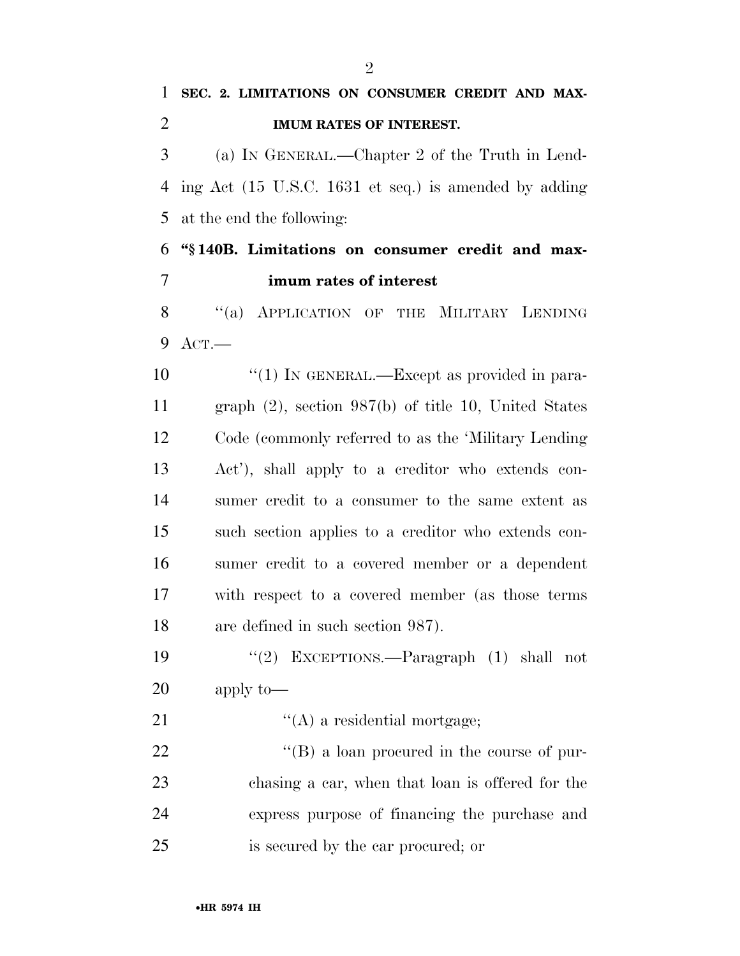# **SEC. 2. LIMITATIONS ON CONSUMER CREDIT AND MAX- IMUM RATES OF INTEREST.**  (a) IN GENERAL.—Chapter 2 of the Truth in Lend- ing Act (15 U.S.C. 1631 et seq.) is amended by adding at the end the following: **''§ 140B. Limitations on consumer credit and max- imum rates of interest**  8 "(a) APPLICATION OF THE MILITARY LENDING ACT.— 10  $\frac{10}{10}$  In GENERAL.—Except as provided in para- graph (2), section 987(b) of title 10, United States Code (commonly referred to as the 'Military Lending Act'), shall apply to a creditor who extends con- sumer credit to a consumer to the same extent as such section applies to a creditor who extends con- sumer credit to a covered member or a dependent with respect to a covered member (as those terms are defined in such section 987). ''(2) EXCEPTIONS.—Paragraph (1) shall not apply to— 21  $\langle (A) \rangle$  a residential mortgage; 22  $\text{``(B) a loan procedure}$  in the course of pur- chasing a car, when that loan is offered for the express purpose of financing the purchase and is secured by the car procured; or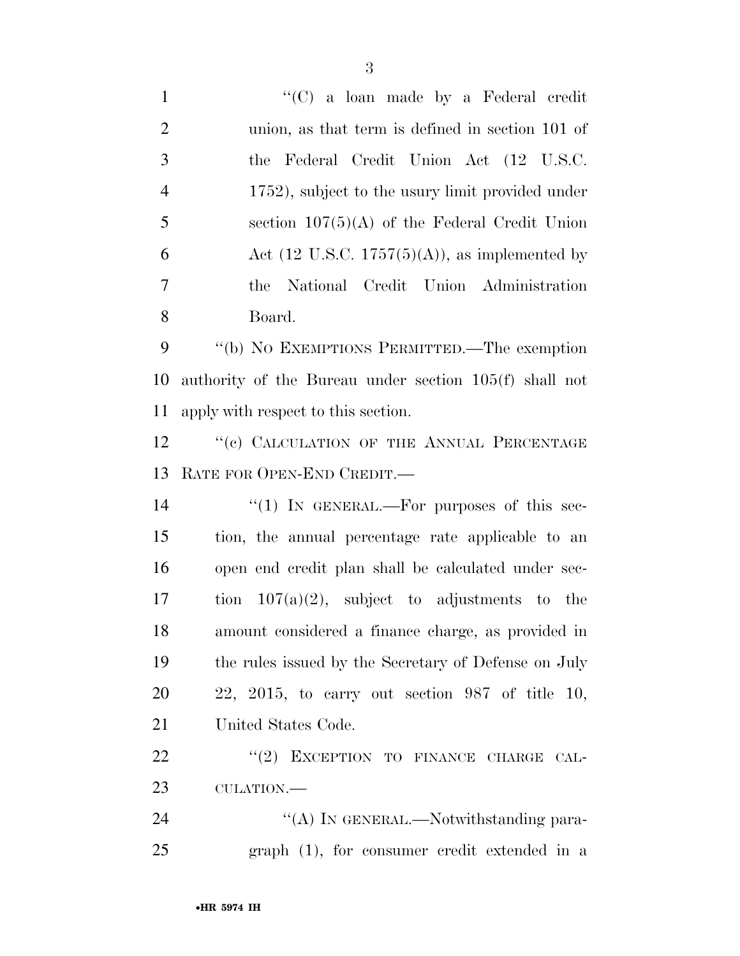| $\mathbf{1}$   | " $(C)$ a loan made by a Federal credit                          |
|----------------|------------------------------------------------------------------|
| $\overline{2}$ | union, as that term is defined in section 101 of                 |
| 3              | the Federal Credit Union Act (12 U.S.C.                          |
| $\overline{4}$ | 1752), subject to the usury limit provided under                 |
| 5              | section $107(5)(A)$ of the Federal Credit Union                  |
| 6              | Act $(12 \text{ U.S.C. } 1757(5)(\text{A}))$ , as implemented by |
| $\overline{7}$ | National Credit Union Administration<br>the                      |
| 8              | Board.                                                           |
| 9              | "(b) NO EXEMPTIONS PERMITTED.—The exemption                      |
| 10             | authority of the Bureau under section 105(f) shall not           |
| 11             | apply with respect to this section.                              |
| 12             | "(c) CALCULATION OF THE ANNUAL PERCENTAGE                        |
| 13             | RATE FOR OPEN-END CREDIT.                                        |
| 14             | "(1) IN GENERAL.—For purposes of this sec-                       |
| 15             | tion, the annual percentage rate applicable to an                |
| 16             | open end credit plan shall be calculated under sec-              |
| 17             | tion $107(a)(2)$ , subject to adjustments to the                 |
| 18             | amount considered a finance charge, as provided in               |
| 19             | the rules issued by the Secretary of Defense on July             |
| <b>20</b>      | $22, 2015,$ to carry out section 987 of title 10,                |
| 21             | United States Code.                                              |
| 22             | "(2) EXCEPTION TO FINANCE CHARGE CAL-                            |
| 23             | CULATION.-                                                       |
| 24             | "(A) IN GENERAL.—Notwithstanding para-                           |
| 25             | $graph(1)$ , for consumer credit extended in a                   |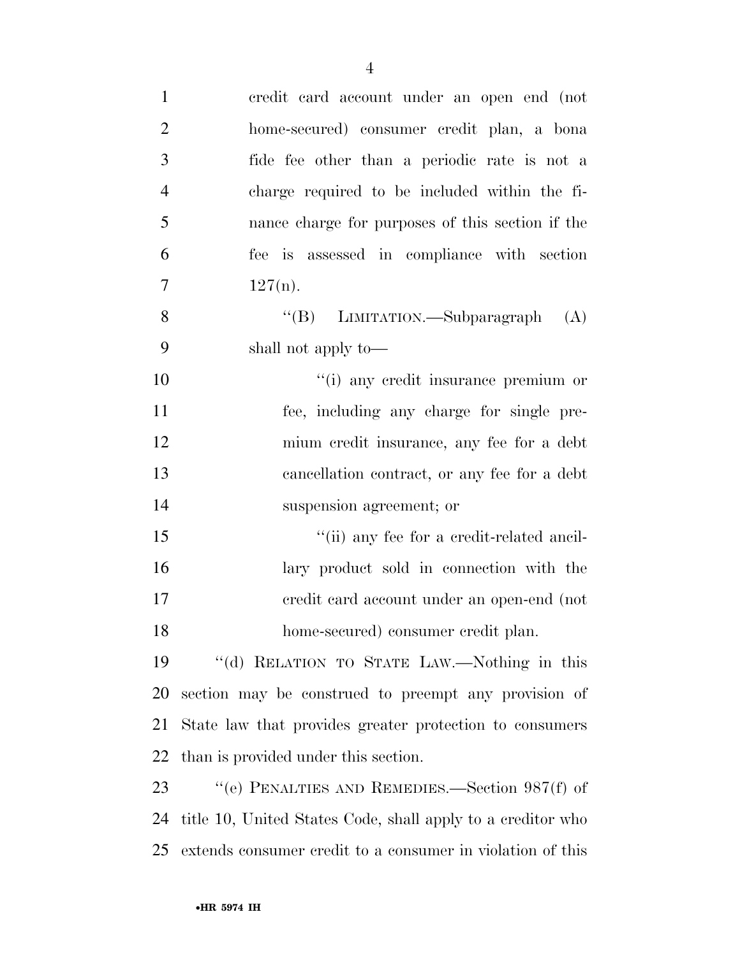| $\mathbf{1}$   | credit card account under an open end (not                  |
|----------------|-------------------------------------------------------------|
| $\overline{2}$ | home-secured) consumer credit plan, a bona                  |
| 3              | fide fee other than a periodic rate is not a                |
| $\overline{4}$ | charge required to be included within the fi-               |
| 5              | nance charge for purposes of this section if the            |
| 6              | fee is assessed in compliance with section                  |
| $\overline{7}$ | $127(n)$ .                                                  |
| 8              | "(B) LIMITATION.—Subparagraph<br>(A)                        |
| 9              | shall not apply to—                                         |
| 10             | "(i) any credit insurance premium or                        |
| 11             | fee, including any charge for single pre-                   |
| 12             | mium credit insurance, any fee for a debt                   |
| 13             | cancellation contract, or any fee for a debt                |
| 14             | suspension agreement; or                                    |
| 15             | "(ii) any fee for a credit-related ancil-                   |
| 16             | lary product sold in connection with the                    |
| 17             | eredit card account under an open-end (not                  |
| 18             | home-secured) consumer credit plan.                         |
| 19             | "(d) RELATION TO STATE LAW.—Nothing in this                 |
| 20             | section may be construed to preempt any provision of        |
| 21             | State law that provides greater protection to consumers     |
| 22             | than is provided under this section.                        |
| 23             | "(e) PENALTIES AND REMEDIES.—Section $987(f)$ of            |
| 24             | title 10, United States Code, shall apply to a creditor who |
| 25             | extends consumer credit to a consumer in violation of this  |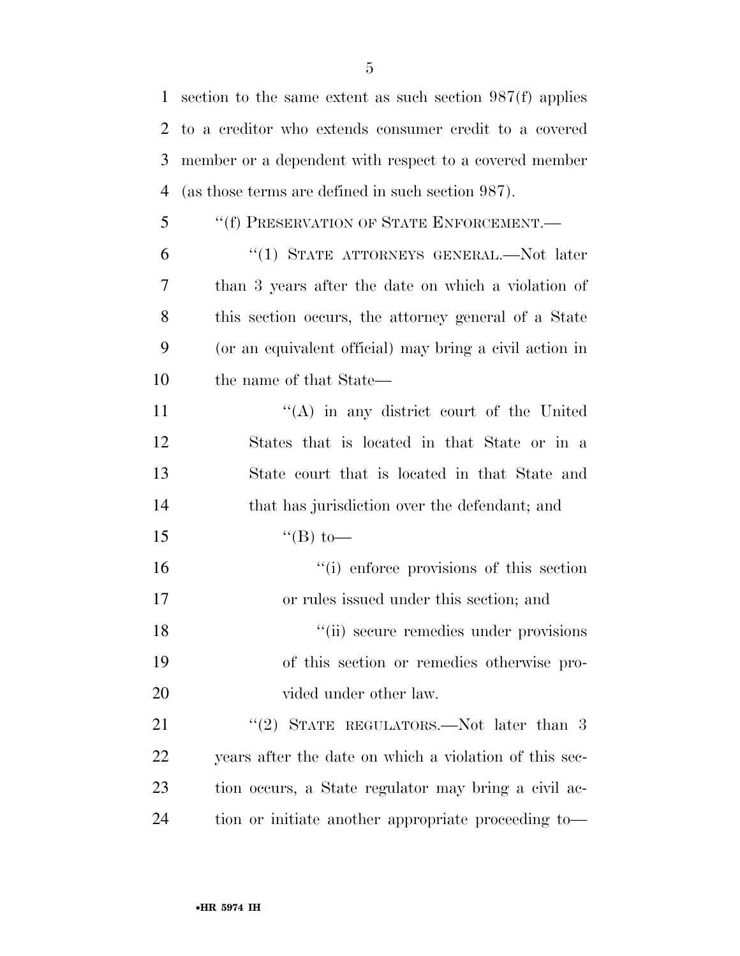section to the same extent as such section 987(f) applies to a creditor who extends consumer credit to a covered member or a dependent with respect to a covered member (as those terms are defined in such section 987). ''(f) PRESERVATION OF STATE ENFORCEMENT.—

 ''(1) STATE ATTORNEYS GENERAL.—Not later than 3 years after the date on which a violation of this section occurs, the attorney general of a State (or an equivalent official) may bring a civil action in the name of that State—

11 ''(A) in any district court of the United States that is located in that State or in a State court that is located in that State and that has jurisdiction over the defendant; and  $"({\rm B})$  to—

16  $\frac{1}{10}$  enforce provisions of this section or rules issued under this section; and 18 ''(ii) secure remedies under provisions of this section or remedies otherwise pro-20 vided under other law.

21 "(2) STATE REGULATORS.—Not later than 3 years after the date on which a violation of this sec- tion occurs, a State regulator may bring a civil ac-tion or initiate another appropriate proceeding to—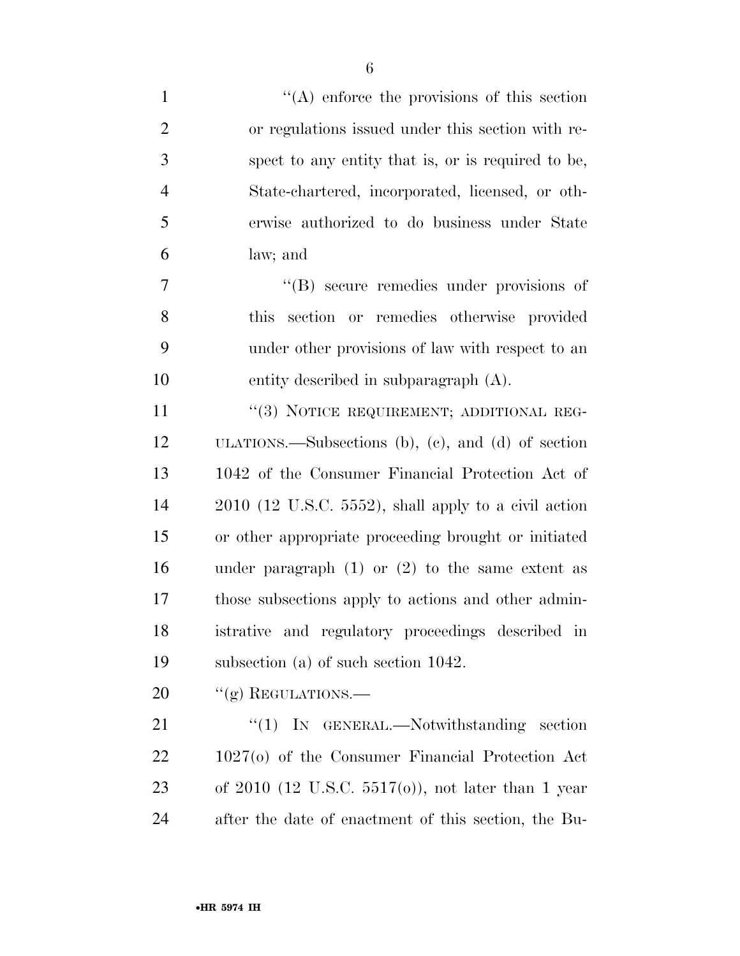| $\mathbf{1}$   | $\lq\lq$ enforce the provisions of this section         |
|----------------|---------------------------------------------------------|
| $\overline{2}$ | or regulations issued under this section with re-       |
| 3              | spect to any entity that is, or is required to be,      |
| $\overline{4}$ | State-chartered, incorporated, licensed, or oth-        |
| 5              | erwise authorized to do business under State            |
| 6              | law; and                                                |
| 7              | "(B) secure remedies under provisions of                |
| 8              | section or remedies otherwise provided<br>this          |
| 9              | under other provisions of law with respect to an        |
| 10             | entity described in subparagraph $(A)$ .                |
| 11             | "(3) NOTICE REQUIREMENT; ADDITIONAL REG-                |
| 12             | ULATIONS.—Subsections (b), (c), and (d) of section      |
| 13             | 1042 of the Consumer Financial Protection Act of        |
| 14             | $2010$ (12 U.S.C. 5552), shall apply to a civil action  |
| 15             | or other appropriate proceeding brought or initiated    |
| 16             | under paragraph $(1)$ or $(2)$ to the same extent as    |
| 17             | those subsections apply to actions and other admin-     |
| 18             | istrative and regulatory proceedings described in       |
| 19             | subsection (a) of such section $1042$ .                 |
| 20             | "(g) REGULATIONS.—                                      |
| 21             | $\lq(1)$ IN GENERAL.—Notwithstanding section            |
| 22             | $1027(o)$ of the Consumer Financial Protection Act      |
| 23             | of $2010$ (12 U.S.C. $5517(0)$ ), not later than 1 year |
| 24             | after the date of enactment of this section, the Bu-    |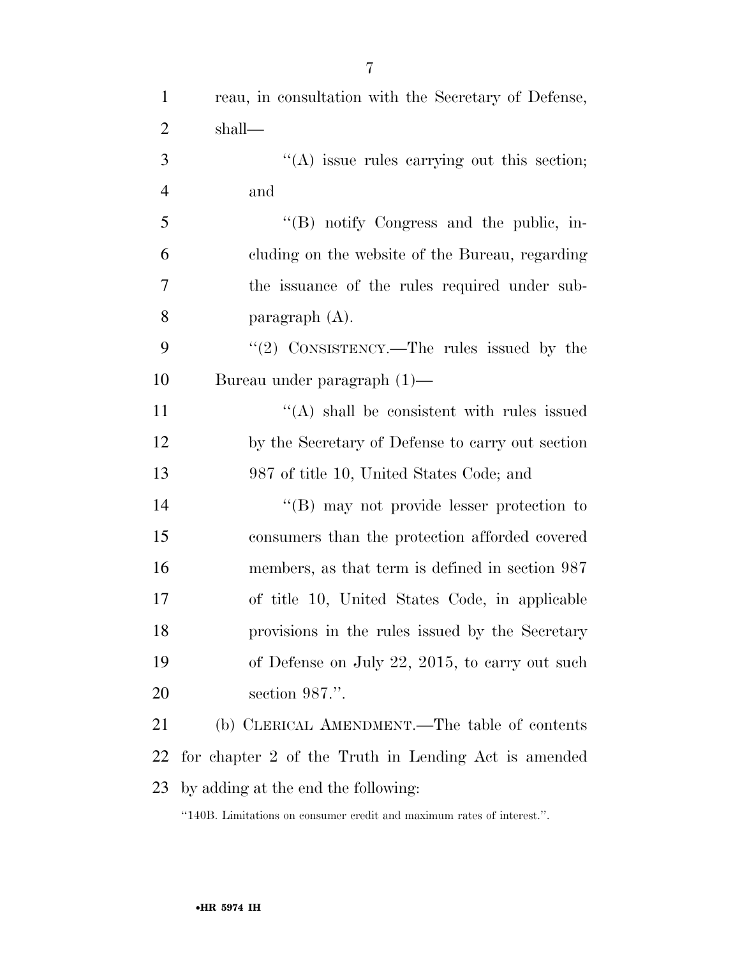| $\mathbf{1}$   | reau, in consultation with the Secretary of Defense, |
|----------------|------------------------------------------------------|
| $\overline{2}$ | shall—                                               |
| 3              | "(A) issue rules carrying out this section;          |
| $\overline{4}$ | and                                                  |
| 5              | "(B) notify Congress and the public, in-             |
| 6              | cluding on the website of the Bureau, regarding      |
| 7              | the issuance of the rules required under sub-        |
| 8              | paragraph $(A)$ .                                    |
| 9              | " $(2)$ CONSISTENCY.—The rules issued by the         |
| 10             | Bureau under paragraph $(1)$ —                       |
| 11             | $\lq\lq$ shall be consistent with rules issued       |
| 12             | by the Secretary of Defense to carry out section     |
| 13             | 987 of title 10, United States Code; and             |
| 14             | $\lq\lq (B)$ may not provide lesser protection to    |
| 15             | consumers than the protection afforded covered       |
| 16             | members, as that term is defined in section 987      |
| 17             | of title 10, United States Code, in applicable       |
| 18             | provisions in the rules issued by the Secretary      |
| 19             | of Defense on July 22, 2015, to carry out such       |
| 20             | section 987.".                                       |
| 21             | (b) CLERICAL AMENDMENT.—The table of contents        |
| 22             | for chapter 2 of the Truth in Lending Act is amended |
| 23             | by adding at the end the following:                  |

''140B. Limitations on consumer credit and maximum rates of interest.''.